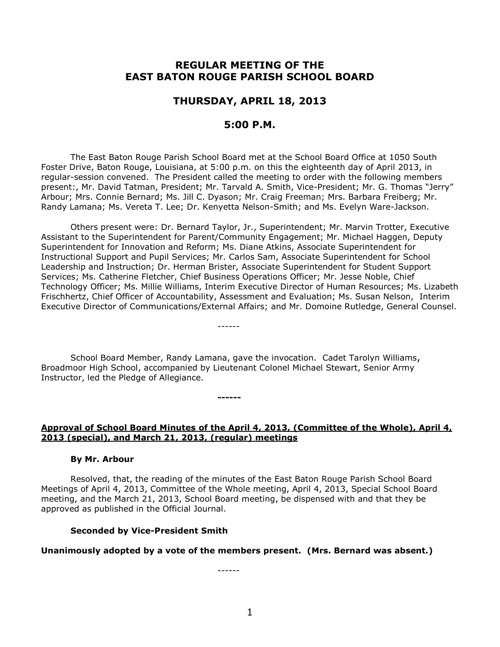# **REGULAR MEETING OF THE EAST BATON ROUGE PARISH SCHOOL BOARD**

# **THURSDAY, APRIL 18, 2013**

# **5:00 P.M.**

The East Baton Rouge Parish School Board met at the School Board Office at 1050 South Foster Drive, Baton Rouge, Louisiana, at 5:00 p.m. on this the eighteenth day of April 2013, in regular-session convened. The President called the meeting to order with the following members present:, Mr. David Tatman, President; Mr. Tarvald A. Smith, Vice-President; Mr. G. Thomas "Jerry" Arbour; Mrs. Connie Bernard; Ms. Jill C. Dyason; Mr. Craig Freeman; Mrs. Barbara Freiberg; Mr. Randy Lamana; Ms. Vereta T. Lee; Dr. Kenyetta Nelson-Smith; and Ms. Evelyn Ware-Jackson.

Others present were: Dr. Bernard Taylor, Jr., Superintendent; Mr. Marvin Trotter, Executive Assistant to the Superintendent for Parent/Community Engagement; Mr. Michael Haggen, Deputy Superintendent for Innovation and Reform; Ms. Diane Atkins, Associate Superintendent for Instructional Support and Pupil Services; Mr. Carlos Sam, Associate Superintendent for School Leadership and Instruction; Dr. Herman Brister, Associate Superintendent for Student Support Services; Ms. Catherine Fletcher, Chief Business Operations Officer; Mr. Jesse Noble, Chief Technology Officer; Ms. Millie Williams, Interim Executive Director of Human Resources; Ms. Lizabeth Frischhertz, Chief Officer of Accountability, Assessment and Evaluation; Ms. Susan Nelson, Interim Executive Director of Communications/External Affairs; and Mr. Domoine Rutledge, General Counsel.

School Board Member, Randy Lamana, gave the invocation. Cadet Tarolyn Williams, Broadmoor High School, accompanied by Lieutenant Colonel Michael Stewart, Senior Army Instructor, led the Pledge of Allegiance.

**------**

------

### **Approval of School Board Minutes of the April 4, 2013, (Committee of the Whole), April 4, 2013 (special), and March 21, 2013, (regular) meetings**

#### **By Mr. Arbour**

Resolved, that, the reading of the minutes of the East Baton Rouge Parish School Board Meetings of April 4, 2013, Committee of the Whole meeting, April 4, 2013, Special School Board meeting, and the March 21, 2013, School Board meeting, be dispensed with and that they be approved as published in the Official Journal.

#### **Seconded by Vice-President Smith**

#### **Unanimously adopted by a vote of the members present. (Mrs. Bernard was absent.)**

------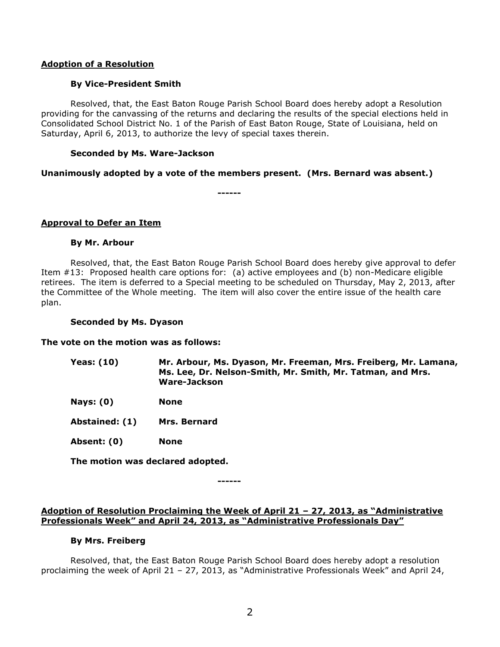### **Adoption of a Resolution**

### **By Vice-President Smith**

Resolved, that, the East Baton Rouge Parish School Board does hereby adopt a Resolution providing for the canvassing of the returns and declaring the results of the special elections held in Consolidated School District No. 1 of the Parish of East Baton Rouge, State of Louisiana, held on Saturday, April 6, 2013, to authorize the levy of special taxes therein.

### **Seconded by Ms. Ware-Jackson**

### **Unanimously adopted by a vote of the members present. (Mrs. Bernard was absent.)**

**------**

### **Approval to Defer an Item**

### **By Mr. Arbour**

Resolved, that, the East Baton Rouge Parish School Board does hereby give approval to defer Item #13: Proposed health care options for: (a) active employees and (b) non-Medicare eligible retirees. The item is deferred to a Special meeting to be scheduled on Thursday, May 2, 2013, after the Committee of the Whole meeting. The item will also cover the entire issue of the health care plan.

#### **Seconded by Ms. Dyason**

#### **The vote on the motion was as follows:**

- **Yeas: (10) Mr. Arbour, Ms. Dyason, Mr. Freeman, Mrs. Freiberg, Mr. Lamana, Ms. Lee, Dr. Nelson-Smith, Mr. Smith, Mr. Tatman, and Mrs. Ware-Jackson**
- **Nays: (0) None**
- **Abstained: (1) Mrs. Bernard**
- **Absent: (0) None**

**The motion was declared adopted.**

**------**

### **Adoption of Resolution Proclaiming the Week of April 21 – 27, 2013, as "Administrative Professionals Week" and April 24, 2013, as "Administrative Professionals Day"**

#### **By Mrs. Freiberg**

Resolved, that, the East Baton Rouge Parish School Board does hereby adopt a resolution proclaiming the week of April 21 – 27, 2013, as "Administrative Professionals Week" and April 24,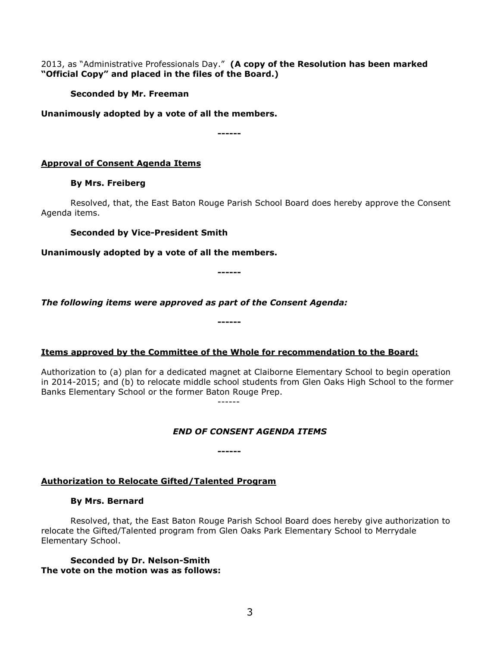2013, as "Administrative Professionals Day." **(A copy of the Resolution has been marked "Official Copy" and placed in the files of the Board.)**

**Seconded by Mr. Freeman**

**Unanimously adopted by a vote of all the members.**

**------**

# **Approval of Consent Agenda Items**

## **By Mrs. Freiberg**

Resolved, that, the East Baton Rouge Parish School Board does hereby approve the Consent Agenda items.

**Seconded by Vice-President Smith**

**Unanimously adopted by a vote of all the members.**

**------**

*The following items were approved as part of the Consent Agenda:*

**Items approved by the Committee of the Whole for recommendation to the Board:** 

**------**

**------**

Authorization to (a) plan for a dedicated magnet at Claiborne Elementary School to begin operation in 2014-2015; and (b) to relocate middle school students from Glen Oaks High School to the former Banks Elementary School or the former Baton Rouge Prep. ------

*END OF CONSENT AGENDA ITEMS*

# **Authorization to Relocate Gifted/Talented Program**

### **By Mrs. Bernard**

Resolved, that, the East Baton Rouge Parish School Board does hereby give authorization to relocate the Gifted/Talented program from Glen Oaks Park Elementary School to Merrydale Elementary School.

**Seconded by Dr. Nelson-Smith The vote on the motion was as follows:**